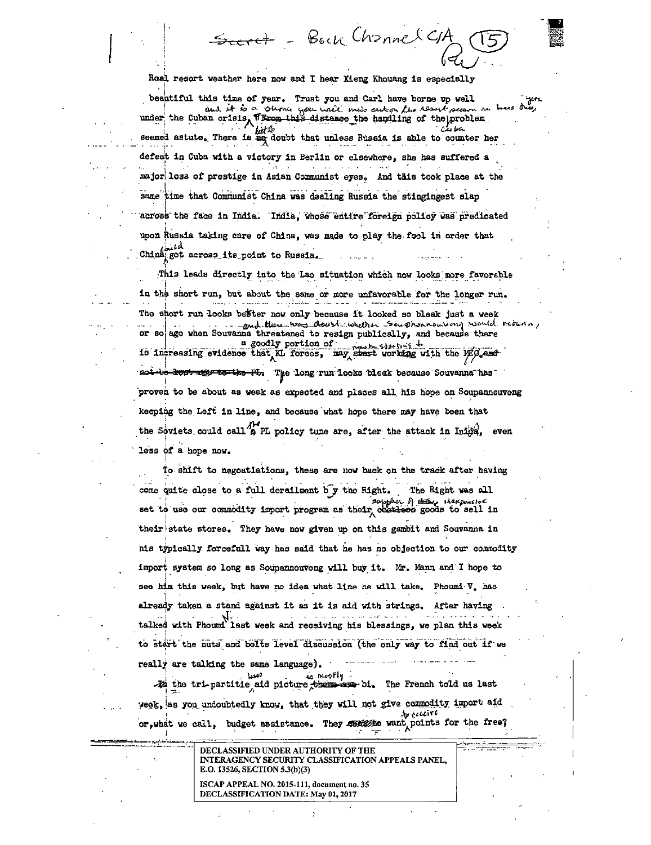Bock Channel C

Real resort weather here now and I hear Xieng Khouang is especially

beautiful this time of year. Trust you and Carl have borne up well  $251$ under the Cuban crisis, Throw this distance the handling of the problem lutk seemed astute. There is as doubt that unless Russia is able to counter her defeat in Cuba with a victory in Berlin or elsewhere, she has suffered a major loss of prestige in Asian Communist eyes. And this took place at the same time that Communist China was dealing Russia the stingingest slap across the face in India. India, whose entire foreign policy was predicated upon Russia taking care of China, was made to play the fool in order that China get across its point to Russia.

This leads directly into the Lao situation which now looks more favorable in the short run, but about the same or more unfavorable for the longer run. The short run looks befter now only because it looked so bleak just a week or so ago when Souvanna threatened to resign publically, and because there a goodly portion of which this is the began in the MEG and the contract of the contract working with the MEG and not-be-lost age to the PL. The long run looks bleak because Souvanna has proven to be about as weak as expected and places all his hope on Soupannouvong keeping the Left in line, and because what hope there may have been that the Soviets could call <sup>2</sup>B PL policy tune are, after the attack in Iniga, even less of a hope now.

To shift to negostiations, these are now back on the track after having come quite close to a full derailment by the Right. The Right was all set to use our commodity import program as their cestions goods to sell in their state stores. They have now given up on this gambit and Souvanna in his typically forcefull way has said that he has no objection to our commodity import system so long as Soupannouvong will buy it. Mr. Mann and I hope to see him this week, but have no idea what line he will take. Phoumi V, has already taken a stand against it as it is aid with strings. After having talked with Phoumi last week and receiving his blessings, we plan this week to start the nuts and bolts level discussion (the only way to find out if we really are talking the same language).

, mosfly

-Za the tri-partitie aid picture there are bi. The French told us last veek, as you undoubtedly know, that they will not give commodity import aid  $b$  recent or, what we call, budget assistance. They ment want points for the free?

> DECLASSIFIED UNDER AUTHORITY OF THE INTERAGENCY SECURITY CLASSIFICATION APPEALS PANEL, E.O. 13526, SECTION 5.3(b)(3)

ISCAP APPEAL NO. 2015-111, document no. 35 DECLASSIFICATION DATE: May 01, 2017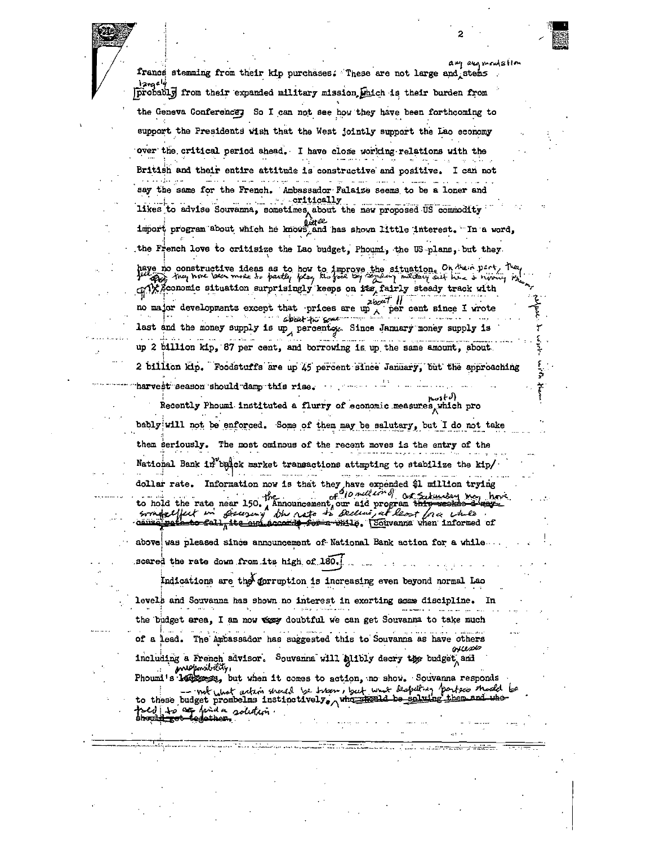any any mentation francs stemming from their kip purchases. These are not large and stems probably from their expanded military mission which is their burden from the Geneva Conferences So I can not see how they have been forthcoming to support the Presidents wish that the West jointly support the Lao economy over the critical period ahead. I have close working relations with the British and their entire attitude is constructive and positive. I can not say the same for the French. Ambassador Falaize seems to be a loner and critically likes to advise Souvanna, sometimes about the new proposed US commodity import program about which he knows, and has shown little interest. "In a word, the French love to critisize the Lao budget, Phoumi, the US plans, but they. have no constructive ideas as to how to improve the situation. On their part, the of Weconomic situation surprisingly keeps on its fairly steady track with zbout 11 no major developments except that prices are up x per cent since I wrote apart to some ... last and the money supply is up, percents. Since January money supply is up 2 billion kip, 87 per cent, and borrowing is up the same amount, about 2 billion kip. Foodstuffs are up 45 percent since January, but the approaching harvest season should damp this rise. Recently Phoumi instituted a flurry of economic measures, which pro bably will not be enforced. Some of them may be salutary, but I do not take them seriously. The most ominous of the recent moves is the entry of the National Bank in belck market transactions attmpting to stabilize the kip/ dollar rate. Information now is that they have expended \$1 million trying to hold the rate near 150. The concentration and program theory of the rate near 150. ut in Beurny the note to Belling at least free while smokelfut in above was pleased since announcement of National Bank action for a while scared the rate down from its high of 180. Indications are the forruption is increasing even beyond normal Lao levels and Souvanna has shown no interest in exerting sease discipline. In the budget area, I am now way doubtful we can get Souvanna to take much of a lead. The Ambassador has suggested this to Souvanna as have others ovess including a French advisor. Souvanna will alibly decry the budget and *inversant dity,* Phound's 144 boost, but when it comes to action, no show. Souvanna responds not what artim should be tripen, but what despeiting parties should be to these budget prombelms instinctively, who shell be solution toed to an hida solution.<br>Should so begather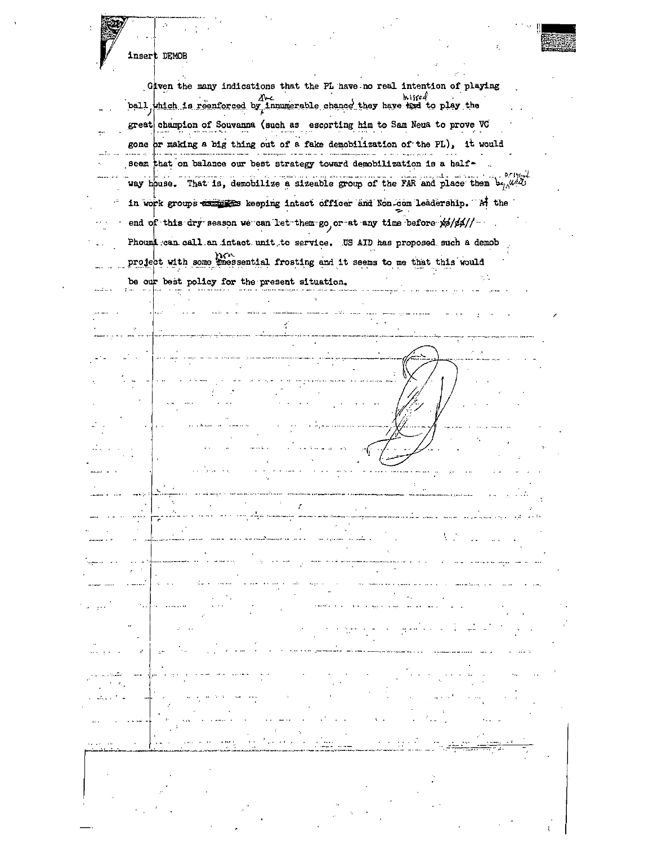|  | $\mathcal{O}$<br>insert DEMOB                                                                          |
|--|--------------------------------------------------------------------------------------------------------|
|  |                                                                                                        |
|  | Given the many indications that the PL have no real intention of playing                               |
|  | hiscod                                                                                                 |
|  | ball which is reenforced by innumerable chance they have the to play the                               |
|  | great champion of Souvanna (such as escorting him to Sam Neua to prove VC                              |
|  | gone or making a big thing out of a fake demobilization of the PL), it would                           |
|  | seem that on balance our best strategy toward demobilization is a half-                                |
|  | way house. That is, demobilize a sizeable group of the FAR and place them $b_{\gamma_{i}}\omega^{i,j}$ |
|  | in work groups examples keeping intact officer and Non-com leadership. "Af the                         |
|  |                                                                                                        |
|  | end of this dry season we can let them go or at any time before xp/pp//-                               |
|  | Phoumi can call an intact unit to service. US AID has proposed such a demob                            |
|  | project with some treessential frosting and it seems to me that this would                             |
|  | be our best policy for the present situation.                                                          |
|  |                                                                                                        |
|  |                                                                                                        |
|  |                                                                                                        |
|  |                                                                                                        |
|  |                                                                                                        |
|  |                                                                                                        |
|  |                                                                                                        |
|  |                                                                                                        |
|  |                                                                                                        |
|  |                                                                                                        |
|  |                                                                                                        |
|  |                                                                                                        |
|  |                                                                                                        |
|  | المايون والمسترجم سنن ولم                                                                              |
|  |                                                                                                        |
|  |                                                                                                        |
|  |                                                                                                        |
|  |                                                                                                        |
|  |                                                                                                        |
|  |                                                                                                        |
|  |                                                                                                        |
|  |                                                                                                        |
|  |                                                                                                        |
|  |                                                                                                        |
|  |                                                                                                        |
|  |                                                                                                        |
|  |                                                                                                        |
|  |                                                                                                        |
|  |                                                                                                        |
|  |                                                                                                        |

 $\epsilon_{\rm{eff}}$ 

 $\sim$   $\sim$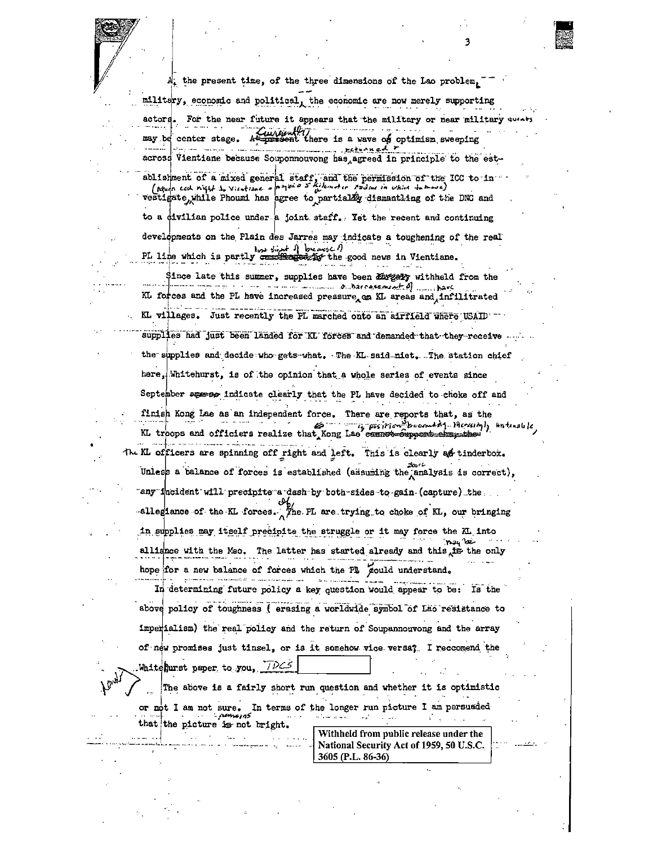At the present time, of the three dimensions of the Lao problem,  $\texttt{milltdry}$ , economic and political, the economic are now merely supporting

actors. For the near future it appears that the military or near military curris may be center stage. A present there is a wave of optimism sweeping **PECULAN COL** across Vientiane because Souponnouvong has agreed in principle to the est-

ablishment of a mixed general staff, and the permission of the ICC to in

vestigate, while Phoumi has agree to partially dismantling of the DNC and

to a civilian police under a joint staff. Tet the recent and continuing developments on the Plain des Jarres may indicate a toughening of the real

PL line which is partly constituted by the good news in Vientiane.

Since late this summer, supplies have been any of withheld from the www.communications.com/ KL forces and the PL have increased pressure an KL areas and infilitrated

KL villages. Just recently the PL marched onto an airfield where USAID supplies had just been landed for KL forces and demanded that they receive.

the supplies and decide who gets what. The KL said niet. The station chief here, Whitehurst, is of the opinion that a whole series of events since

September ages of indicate clearly that the PL have decided to choke off and

finish Kong Lae as an independent force. There are reports that, as the KL troops and officiers realize that kong Lae cannot exposition thersingly intensible

The KL officers are spinning off right and left. This is clearly as tinderbox. Unless a balance of forces is established (assuming the analysis is correct),

"any "incident will precipite a dash by both-sides to gain (capture) the -allegiance of the KL forces. The PL are trying to choke of KL, our bringing in supplies may itself precipite the struggle or it may force the KL into alliance with the Meo. The latter has started already and this the only hope for a new balance of forces which the Pl gould understand.

In determining future policy a key question would appear to be: Is the above policy of toughness (erasing a worldwide symbol of Lao resistance to imperialism) the real policy and the return of Soupannouvong and the array of new promises just tinsel, or is it somehow vice versa? I reccomend the Whitehurst paper to you, TDCS

The above is a fairly short run question and whether it is optimistic

or not I am not sure. In terms of the longer run picture I am persuaded

that the picture is not bright.

Withheld from public release under the National Security Act of 1959, 50 U.S.C. 3605 (P.L. 86-36)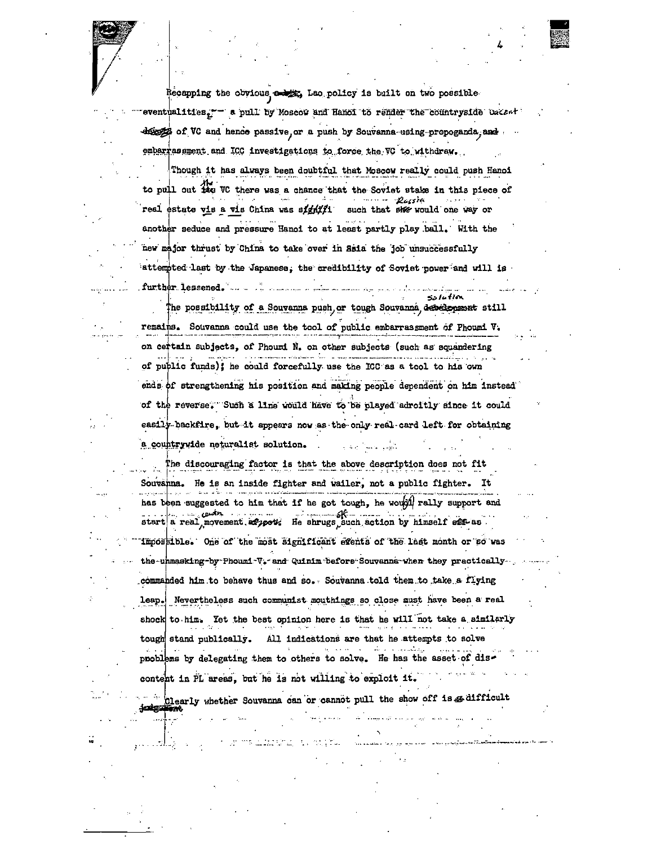Recapping the obvious a big Lao policy is built on two possible eventualities. - a pull by Moscow and Hanoi to render the countryside uscant descrip of VC and hence passive or a push by Souvanna-using-propoganda, and embarrassment and ICC investigations to force the VC to withdraw.

Though it has always been doubtful that Moscow really could push Hanoi to pull out its VC there was a chance that the Soviet stake in this piece of Russia real estate vis a vis China was sighter such that she would one way or another seduce and pressure Hanoi to at least partly play ball. With the new major thrust by China to take over in Ssia the job unsuccessfully attempted last by the Japanese, the credibility of Soviet power and will is further lessened. We want the same way to the contract of  $1.1.1$ 

The possibility of a Souvanna push or tough Souvanna descrepens still remains. Souvanna could use the tool of public embarrassment of Phoumi V. on certain subjects, of Phoumi N. on other subjects (such as squandering of public funds); he could forcefully use the ICC as a tool to his own ends of strengthening his position and making people dependent on him instead of the reverse. Such a line would have to be played adroitly since it could easily backfire, but it appears now as the only real card left for obtaining a countrywide neturalist solution. للأوبر المساديف

The discouraging factor is that the above description does not fit Souvanna. He is an inside fighter and wailer, not a public fighter. **It** has been suggested to him that if he got tough, he would rally support and start a real movement. always He shrugs such action by himself elf-as. impossible. One of the most significant events of the last month or so was the-unmasking-by-Phoumi-V. and Quinim before Souvanna when they practically. commanded him to behave thus and so. Souvanna told them to take a flying leap. Nevertheless such communist mouthings so close must have been a real shock to him. Yet the best opinion here is that he will not take a similarly tough stand publically. All indications are that he attempts to solve problems by delegating them to others to solve. He has the asset of discontent in PL areas, but he is not willing to exploit it.

Clearly whether Souvanna can or cannot pull the show off is a difficult